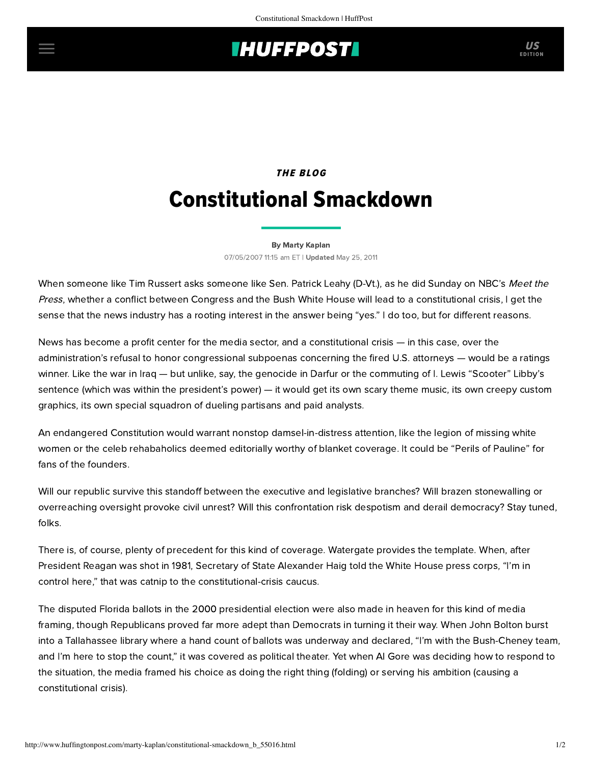## **IHUFFPOSTI** US

# **THE BLOG** Constitutional Smackdown

### [By Marty Kaplan](http://www.huffingtonpost.com/author/marty-kaplan)

07/05/2007 11:15 am ET | Updated May 25, 2011

When someone like Tim Russert asks someone like Sen. Patrick Leahy (D-Vt.), as he did Sunday on NBC's Meet the Press, whether a conflict between Congress and the Bush White House will lead to a constitutional crisis, I get the sense that the news industry has a rooting interest in the answer being "yes." I do too, but for different reasons.

News has become a profit center for the media sector, and a constitutional crisis — in this case, over the administration's refusal to honor congressional subpoenas concerning the fired U.S. attorneys — would be a ratings winner. Like the war in Iraq — but unlike, say, the genocide in Darfur or the commuting of I. Lewis "Scooter" Libby's sentence (which was within the president's power) — it would get its own scary theme music, its own creepy custom graphics, its own special squadron of dueling partisans and paid analysts.

An endangered Constitution would warrant nonstop damsel-in-distress attention, like the legion of missing white women or the celeb rehabaholics deemed editorially worthy of blanket coverage. It could be "Perils of Pauline" for fans of the founders.

Will our republic survive this standoff between the executive and legislative branches? Will brazen stonewalling or overreaching oversight provoke civil unrest? Will this confrontation risk despotism and derail democracy? Stay tuned, folks.

There is, of course, plenty of precedent for this kind of coverage. Watergate provides the template. When, after President Reagan was shot in 1981, Secretary of State Alexander Haig told the White House press corps, "I'm in control here," that was catnip to the constitutional-crisis caucus.

The disputed Florida ballots in the 2000 presidential election were also made in heaven for this kind of media framing, though Republicans proved far more adept than Democrats in turning it their way. When John Bolton burst into a Tallahassee library where a hand count of ballots was underway and declared, "I'm with the Bush-Cheney team, and I'm here to stop the count," it was covered as political theater. Yet when Al Gore was deciding how to respond to the situation, the media framed his choice as doing the right thing (folding) or serving his ambition (causing a constitutional crisis).